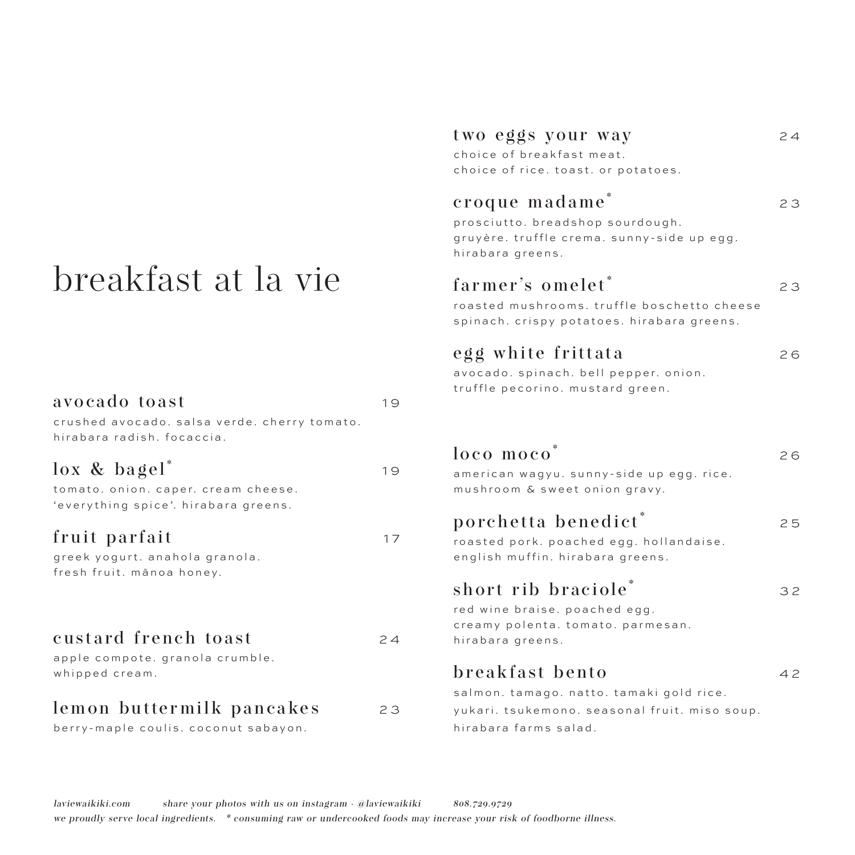# breakfast at la vie

| avocado toast<br>crushed avocado. salsa verde. cherry tomato.<br>hirabara radish. focaccia. | 19 |
|---------------------------------------------------------------------------------------------|----|
| lox & bagel*<br>tomato. onion. caper. cream cheese.<br>'everything spice'. hirabara greens. | 19 |
| fruit parfait<br>greek yogurt. anahola granola.<br>fresh fruit. mānoa honey.                | 17 |
| custard french toast<br>apple compote. granola crumble.<br>whipped cream.                   | 24 |
| lemon buttermilk pancakes<br>berry-maple coulis. coconut sabayon.                           | 23 |

#### two eggs your way 24

choice of breakfast meat. choice of rice. toast. or potatoes.

#### croque madame<sup>\*</sup> 23

prosciutto. breadshop sourdough. gruyère. truffle crema. sunny-side up egg. hirabara greens.

### farmer's omelet<sup>\*</sup> 23

roasted mushrooms. truffle boschetto cheese spinach. crispy potatoes. hirabara greens.

#### egg white frittata 26

avocado. spinach. bell pepper. onion. truffle pecorino. mustard green.

| loco moco<br>american wagyu. sunny-side up egg. rice.<br>mushroom & sweet onion gravy.                         | 26 |
|----------------------------------------------------------------------------------------------------------------|----|
| porchetta benedict <sup>*</sup><br>roasted pork. poached egg. hollandaise.<br>english muffin. hirabara greens. | 25 |
| short rib braciole*<br>red wine braise. poached egg.<br>creamy polenta. tomato. parmesan.<br>hirabara greens.  | 32 |
| breakfast bento<br>salmon. tamago. natto. tamaki gold rice.<br>yukari. tsukemono. seasonal fruit. miso soup.   | 42 |

hirabara farms salad.